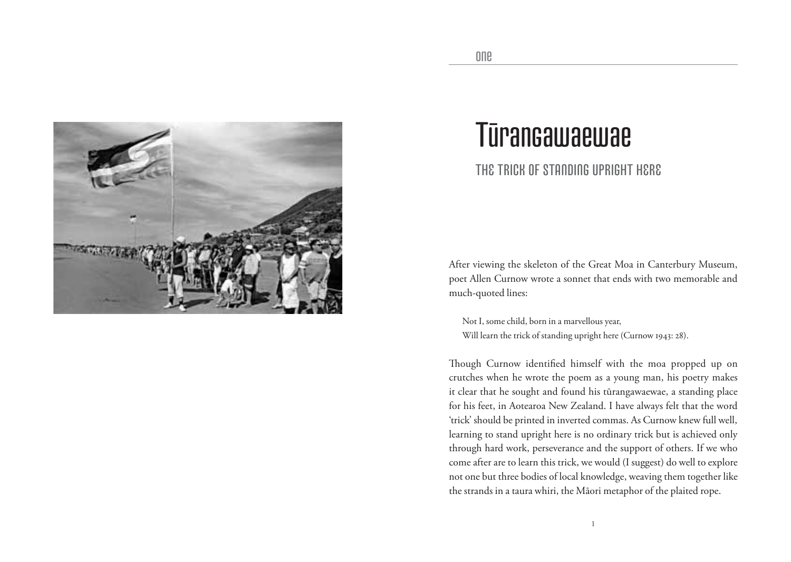

## Tūrangawaewae

## The Trick of Standing Upright Here

After viewing the skeleton of the Great Moa in Canterbury Museum, poet Allen Curnow wrote a sonnet that ends with two memorable and much-quoted lines:

Not I, some child, born in a marvellous year, Will learn the trick of standing upright here (Curnow 1943: 28).

Though Curnow identified himself with the moa propped up on crutches when he wrote the poem as a young man, his poetry makes it clear that he sought and found his tūrangawaewae, a standing place for his feet, in Aotearoa New Zealand. I have always felt that the word 'trick' should be printed in inverted commas. As Curnow knew full well, learning to stand upright here is no ordinary trick but is achieved only through hard work, perseverance and the support of others. If we who come after are to learn this trick, we would (I suggest) do well to explore not one but three bodies of local knowledge, weaving them together like the strands in a taura whiri, the Māori metaphor of the plaited rope.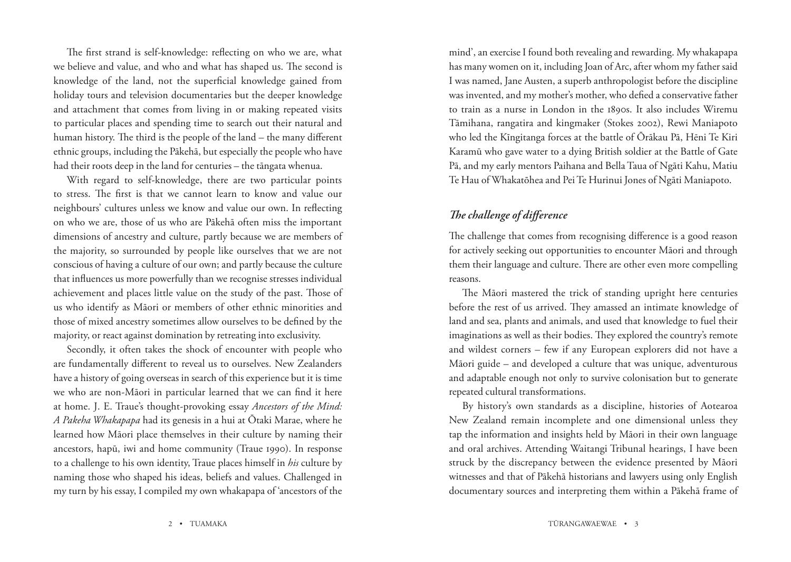The first strand is self-knowledge: reflecting on who we are, what we believe and value, and who and what has shaped us. The second is knowledge of the land, not the superficial knowledge gained from holiday tours and television documentaries but the deeper knowledge and attachment that comes from living in or making repeated visits to particular places and spending time to search out their natural and human history. The third is the people of the land – the many different ethnic groups, including the Pākehā, but especially the people who have had their roots deep in the land for centuries – the tāngata whenua.

With regard to self-knowledge, there are two particular points to stress. The first is that we cannot learn to know and value our neighbours' cultures unless we know and value our own. In reflecting on who we are, those of us who are Pākehā often miss the important dimensions of ancestry and culture, partly because we are members of the majority, so surrounded by people like ourselves that we are not conscious of having a culture of our own; and partly because the culture that influences us more powerfully than we recognise stresses individual achievement and places little value on the study of the past. Those of us who identify as Māori or members of other ethnic minorities and those of mixed ancestry sometimes allow ourselves to be defined by the majority, or react against domination by retreating into exclusivity.

Secondly, it often takes the shock of encounter with people who are fundamentally different to reveal us to ourselves. New Zealanders have a history of going overseas in search of this experience but it is time we who are non-Māori in particular learned that we can find it here at home. J. E. Traue's thought-provoking essay *Ancestors of the Mind: A Pakeha Whakapapa* had its genesis in a hui at Ōtaki Marae, where he learned how Māori place themselves in their culture by naming their ancestors, hapū, iwi and home community (Traue 1990). In response to a challenge to his own identity, Traue places himself in *his* culture by naming those who shaped his ideas, beliefs and values. Challenged in my turn by his essay, I compiled my own whakapapa of 'ancestors of the mind', an exercise I found both revealing and rewarding. My whakapapa has many women on it, including Joan of Arc, after whom my father said I was named, Jane Austen, a superb anthropologist before the discipline was invented, and my mother's mother, who defied a conservative father to train as a nurse in London in the 1890s. It also includes Wiremu Tāmihana, rangatira and kingmaker (Stokes 2002), Rewi Maniapoto who led the Kīngitanga forces at the battle of Ōrākau Pā, Hēni Te Kiri Karamū who gave water to a dying British soldier at the Battle of Gate Pā, and my early mentors Paihana and Bella Taua of Ngāti Kahu, Matiu Te Hau of Whakatōhea and Pei Te Hurinui Jones of Ngāti Maniapoto.

## *The challenge of difference*

The challenge that comes from recognising difference is a good reason for actively seeking out opportunities to encounter Māori and through them their language and culture. There are other even more compelling reasons.

The Māori mastered the trick of standing upright here centuries before the rest of us arrived. They amassed an intimate knowledge of land and sea, plants and animals, and used that knowledge to fuel their imaginations as well as their bodies. They explored the country's remote and wildest corners – few if any European explorers did not have a Māori guide – and developed a culture that was unique, adventurous and adaptable enough not only to survive colonisation but to generate repeated cultural transformations.

By history's own standards as a discipline, histories of Aotearoa New Zealand remain incomplete and one dimensional unless they tap the information and insights held by Māori in their own language and oral archives. Attending Waitangi Tribunal hearings, I have been struck by the discrepancy between the evidence presented by Māori witnesses and that of Pākehā historians and lawyers using only English documentary sources and interpreting them within a Pākehā frame of